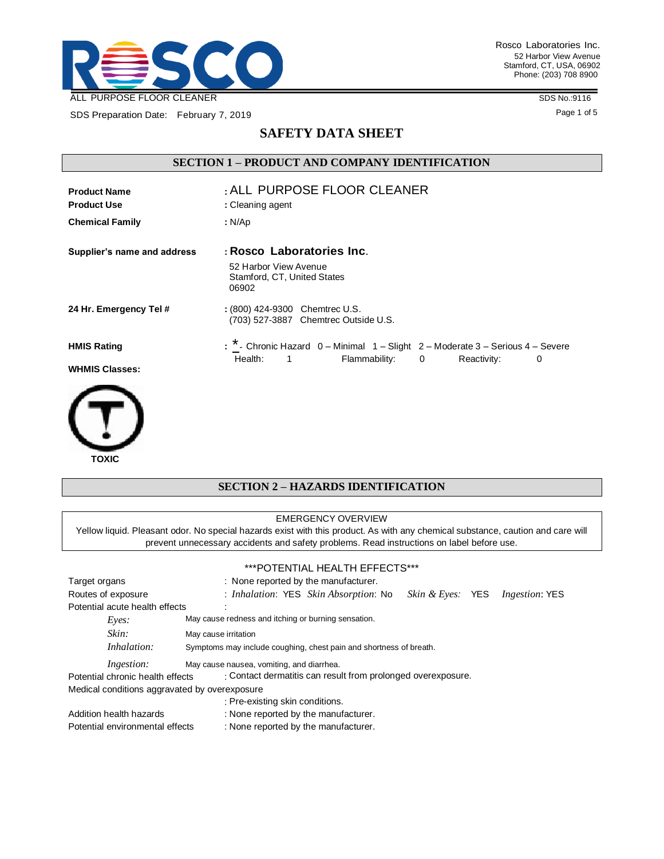

SDS Preparation Date: February 7, 2019

 **TOXIC**

SDS No.:9116

Page 1 of 5

# **SAFETY DATA SHEET**

# **SECTION 1 – PRODUCT AND COMPANY IDENTIFICATION**

| <b>Product Name</b><br><b>Product Use</b> | : ALL PURPOSE FLOOR CLEANER<br>: Cleaning agent                                              |
|-------------------------------------------|----------------------------------------------------------------------------------------------|
| <b>Chemical Family</b>                    | : N/Ap                                                                                       |
| Supplier's name and address               | : Rosco Laboratories Inc.<br>52 Harbor View Avenue<br>Stamford, CT, United States<br>06902   |
| 24 Hr. Emergency Tel #                    | : (800) 424-9300 Chemtrec U.S.<br>(703) 527-3887 Chemtrec Outside U.S.                       |
| <b>HMIS Rating</b>                        | : * - Chronic Hazard 0 - Minimal 1 - Slight 2 - Moderate 3 - Serious 4 - Severe<br>Health: 1 |
| <b>WHMIS Classes:</b>                     | Flammability: 0<br>Reactivity:<br>0                                                          |
|                                           |                                                                                              |



#### EMERGENCY OVERVIEW

Yellow liquid. Pleasant odor. No special hazards exist with this product. As with any chemical substance, caution and care will prevent unnecessary accidents and safety problems. Read instructions on label before use.

|                                               | ***POTENTIAL HEALTH EFFECTS***                                                        |
|-----------------------------------------------|---------------------------------------------------------------------------------------|
| Target organs                                 | : None reported by the manufacturer.                                                  |
| Routes of exposure                            | : Inhalation: YES Skin Absorption: No<br><i>Ingestion:</i> YES<br>Skin & Eves:<br>YES |
| Potential acute health effects                |                                                                                       |
| Eves:                                         | May cause redness and itching or burning sensation.                                   |
| Skin:                                         | May cause irritation                                                                  |
| Inhalation:                                   | Symptoms may include coughing, chest pain and shortness of breath.                    |
| <i>Ingestion:</i>                             | May cause nausea, vomiting, and diarrhea.                                             |
| Potential chronic health effects              | : Contact dermatitis can result from prolonged overexposure.                          |
| Medical conditions aggravated by overexposure |                                                                                       |
|                                               | : Pre-existing skin conditions.                                                       |
| Addition health hazards                       | : None reported by the manufacturer.                                                  |
| Potential environmental effects               | : None reported by the manufacturer.                                                  |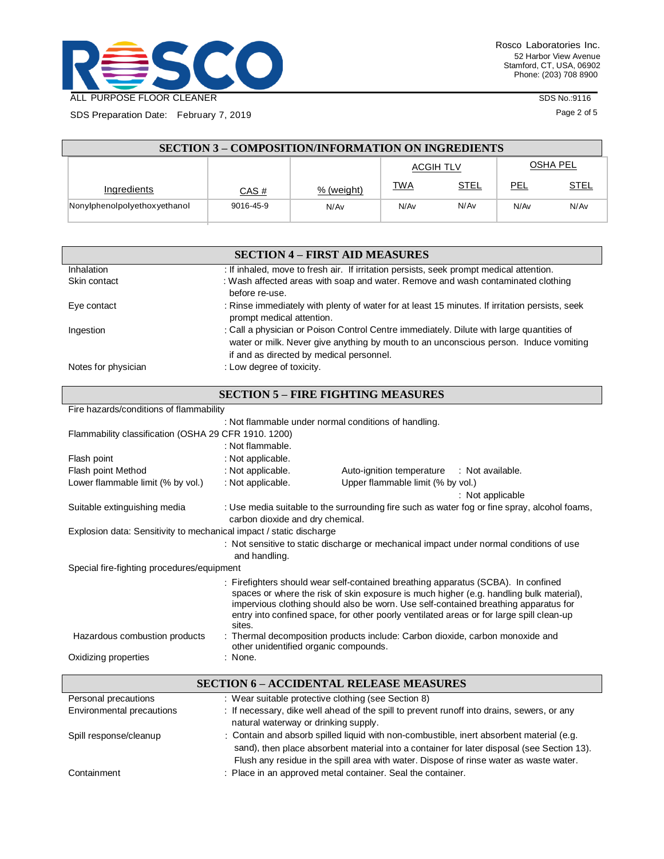

SDS Preparation Date: February 7, 2019

SDS No.:9116

Page 2 of 5

| <b>SECTION 3 – COMPOSITION/INFORMATION ON INGREDIENTS</b> |           |            |           |             |                 |      |
|-----------------------------------------------------------|-----------|------------|-----------|-------------|-----------------|------|
|                                                           |           |            | ACGIH TLV |             | <b>OSHA PEL</b> |      |
| Ingredients                                               | CAS #     | % (weight) | TWA       | <b>STEL</b> | PEL             | STEL |
| Nonylphenolpolyethoxyethanol                              | 9016-45-9 | N/Av       | N/Av      | N/Av        | N/Av            | N/Av |

| <b>SECTION 4 – FIRST AID MEASURES</b> |                                                                                                                                                                                                                               |  |  |  |
|---------------------------------------|-------------------------------------------------------------------------------------------------------------------------------------------------------------------------------------------------------------------------------|--|--|--|
| Inhalation                            | : If inhaled, move to fresh air. If irritation persists, seek prompt medical attention.                                                                                                                                       |  |  |  |
| Skin contact                          | : Wash affected areas with soap and water. Remove and wash contaminated clothing<br>before re-use.                                                                                                                            |  |  |  |
| Eye contact                           | : Rinse immediately with plenty of water for at least 15 minutes. If irritation persists, seek<br>prompt medical attention.                                                                                                   |  |  |  |
| Ingestion                             | : Call a physician or Poison Control Centre immediately. Dilute with large quantities of<br>water or milk. Never give anything by mouth to an unconscious person. Induce vomiting<br>if and as directed by medical personnel. |  |  |  |
| Notes for physician                   | : Low degree of toxicity.                                                                                                                                                                                                     |  |  |  |

| <b>SECTION 5 - FIRE FIGHTING MEASURES</b>                                                                                                                                                                                                                                                                                                                                 |                                                                                                                                  |                                                      |  |  |  |  |
|---------------------------------------------------------------------------------------------------------------------------------------------------------------------------------------------------------------------------------------------------------------------------------------------------------------------------------------------------------------------------|----------------------------------------------------------------------------------------------------------------------------------|------------------------------------------------------|--|--|--|--|
|                                                                                                                                                                                                                                                                                                                                                                           | Fire hazards/conditions of flammability                                                                                          |                                                      |  |  |  |  |
|                                                                                                                                                                                                                                                                                                                                                                           |                                                                                                                                  | : Not flammable under normal conditions of handling. |  |  |  |  |
| Flammability classification (OSHA 29 CFR 1910. 1200)                                                                                                                                                                                                                                                                                                                      |                                                                                                                                  |                                                      |  |  |  |  |
|                                                                                                                                                                                                                                                                                                                                                                           | : Not flammable.                                                                                                                 |                                                      |  |  |  |  |
| Flash point                                                                                                                                                                                                                                                                                                                                                               | : Not applicable.                                                                                                                |                                                      |  |  |  |  |
| Flash point Method                                                                                                                                                                                                                                                                                                                                                        | : Not applicable.                                                                                                                | Auto-ignition temperature : Not available.           |  |  |  |  |
| Lower flammable limit (% by vol.)                                                                                                                                                                                                                                                                                                                                         | : Not applicable.                                                                                                                | Upper flammable limit (% by vol.)                    |  |  |  |  |
|                                                                                                                                                                                                                                                                                                                                                                           |                                                                                                                                  | : Not applicable                                     |  |  |  |  |
| Suitable extinguishing media                                                                                                                                                                                                                                                                                                                                              | : Use media suitable to the surrounding fire such as water fog or fine spray, alcohol foams,<br>carbon dioxide and dry chemical. |                                                      |  |  |  |  |
| Explosion data: Sensitivity to mechanical impact / static discharge                                                                                                                                                                                                                                                                                                       |                                                                                                                                  |                                                      |  |  |  |  |
|                                                                                                                                                                                                                                                                                                                                                                           | : Not sensitive to static discharge or mechanical impact under normal conditions of use<br>and handling.                         |                                                      |  |  |  |  |
| Special fire-fighting procedures/equipment                                                                                                                                                                                                                                                                                                                                |                                                                                                                                  |                                                      |  |  |  |  |
| : Firefighters should wear self-contained breathing apparatus (SCBA). In confined<br>spaces or where the risk of skin exposure is much higher (e.g. handling bulk material),<br>impervious clothing should also be worn. Use self-contained breathing apparatus for<br>entry into confined space, for other poorly ventilated areas or for large spill clean-up<br>sites. |                                                                                                                                  |                                                      |  |  |  |  |
| Hazardous combustion products                                                                                                                                                                                                                                                                                                                                             | : Thermal decomposition products include: Carbon dioxide, carbon monoxide and<br>other unidentified organic compounds.           |                                                      |  |  |  |  |
| Oxidizing properties                                                                                                                                                                                                                                                                                                                                                      | : None.                                                                                                                          |                                                      |  |  |  |  |
| <b>SECTION 6 - ACCIDENTAL RELEASE MEASURES</b>                                                                                                                                                                                                                                                                                                                            |                                                                                                                                  |                                                      |  |  |  |  |

|                           | <b>SECTION 6 - ACCIDENTAL RELEASE MEASURES</b>                                                                                                                                                                                                                                   |
|---------------------------|----------------------------------------------------------------------------------------------------------------------------------------------------------------------------------------------------------------------------------------------------------------------------------|
| Personal precautions      | : Wear suitable protective clothing (see Section 8)                                                                                                                                                                                                                              |
| Environmental precautions | : If necessary, dike well ahead of the spill to prevent runoff into drains, sewers, or any<br>natural waterway or drinking supply.                                                                                                                                               |
| Spill response/cleanup    | : Contain and absorb spilled liquid with non-combustible, inert absorbent material (e.g.<br>sand), then place absorbent material into a container for later disposal (see Section 13).<br>Flush any residue in the spill area with water. Dispose of rinse water as waste water. |
| Containment               | : Place in an approved metal container. Seal the container.                                                                                                                                                                                                                      |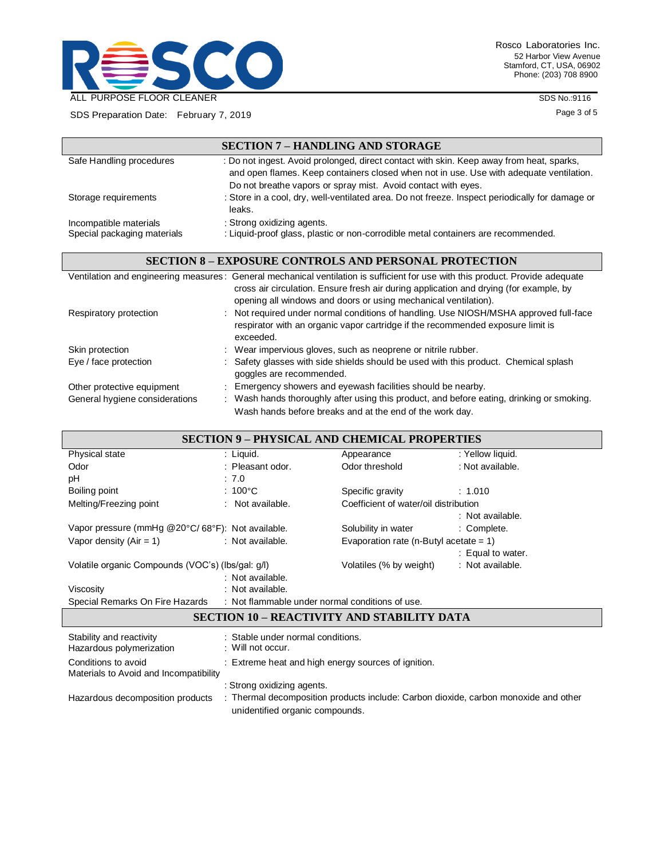

Rosco Laboratories Inc. 52 Harbor View Avenue Stamford, CT, USA, 06902 Phone: (203) 708 8900

SDS No.:9116

Page 3 of 5

| SDS Preparation Date: February 7, 2019 |  |
|----------------------------------------|--|
|                                        |  |

|                             | <b>SECTION 7 - HANDLING AND STORAGE</b>                                                                                                                                                                                                                                                     |
|-----------------------------|---------------------------------------------------------------------------------------------------------------------------------------------------------------------------------------------------------------------------------------------------------------------------------------------|
| Safe Handling procedures    | : Do not ingest. Avoid prolonged, direct contact with skin. Keep away from heat, sparks,<br>and open flames. Keep containers closed when not in use. Use with adequate ventilation.<br>Do not breathe vapors or spray mist. Avoid contact with eyes.                                        |
| Storage requirements        | : Store in a cool, dry, well-ventilated area. Do not freeze. Inspect periodically for damage or<br>leaks.                                                                                                                                                                                   |
| Incompatible materials      | : Strong oxidizing agents.                                                                                                                                                                                                                                                                  |
| Special packaging materials | : Liquid-proof glass, plastic or non-corrodible metal containers are recommended.                                                                                                                                                                                                           |
|                             |                                                                                                                                                                                                                                                                                             |
|                             | <b>SECTION 8 – EXPOSURE CONTROLS AND PERSONAL PROTECTION</b>                                                                                                                                                                                                                                |
|                             | Ventilation and engineering measures: General mechanical ventilation is sufficient for use with this product. Provide adequate<br>cross air circulation. Ensure fresh air during application and drying (for example, by<br>opening all windows and doors or using mechanical ventilation). |
| Respiratory protection      | : Not required under normal conditions of handling. Use NIOSH/MSHA approved full-face<br>respirator with an organic vapor cartridge if the recommended exposure limit is<br>exceeded.                                                                                                       |

|                                | cvreenen.                                                                                 |
|--------------------------------|-------------------------------------------------------------------------------------------|
| Skin protection                | : Wear impervious gloves, such as neoprene or nitrile rubber.                             |
| Eye / face protection          | : Safety glasses with side shields should be used with this product. Chemical splash      |
|                                | goggles are recommended.                                                                  |
| Other protective equipment     | : Emergency showers and eyewash facilities should be nearby.                              |
| General hygiene considerations | : Wash hands thoroughly after using this product, and before eating, drinking or smoking. |
|                                | Wash hands before breaks and at the end of the work day.                                  |

| <b>SECTION 9 – PHYSICAL AND CHEMICAL PROPERTIES</b>                             |                                                     |                                           |                   |  |  |
|---------------------------------------------------------------------------------|-----------------------------------------------------|-------------------------------------------|-------------------|--|--|
| Physical state                                                                  | : Liquid.                                           | Appearance                                | : Yellow liquid.  |  |  |
| Odor                                                                            | : Pleasant odor.                                    | Odor threshold                            | : Not available.  |  |  |
| pH                                                                              | : 7.0                                               |                                           |                   |  |  |
| Boiling point                                                                   | $:100^{\circ}$ C                                    | Specific gravity                          | : 1.010           |  |  |
| Melting/Freezing point                                                          | : Not available.                                    | Coefficient of water/oil distribution     |                   |  |  |
|                                                                                 |                                                     |                                           | : Not available.  |  |  |
| Vapor pressure (mmHg @20°C/68°F): Not available.                                |                                                     | Solubility in water                       | : Complete.       |  |  |
| Vapor density $(Air = 1)$                                                       | : Not available.                                    | Evaporation rate (n-Butyl acetate = $1$ ) |                   |  |  |
|                                                                                 |                                                     |                                           | : Equal to water. |  |  |
| Volatile organic Compounds (VOC's) (lbs/gal. g/l)                               |                                                     | Volatiles (% by weight)                   | : Not available.  |  |  |
|                                                                                 | : Not available.                                    |                                           |                   |  |  |
| Viscosity                                                                       | : Not available.                                    |                                           |                   |  |  |
| Special Remarks On Fire Hazards : Not flammable under normal conditions of use. |                                                     |                                           |                   |  |  |
| <b>SECTION 10 – REACTIVITY AND STABILITY DATA</b>                               |                                                     |                                           |                   |  |  |
| Stability and reactivity                                                        | : Stable under normal conditions.                   |                                           |                   |  |  |
| Hazardous polymerization                                                        | : Will not occur.                                   |                                           |                   |  |  |
| Conditions to avoid<br>Materials to Avoid and Incompatibility                   | : Extreme heat and high energy sources of ignition. |                                           |                   |  |  |
|                                                                                 | : Strong oxidizing agents.                          |                                           |                   |  |  |

Hazardous decomposition products : Thermal decomposition products include: Carbon dioxide, carbon monoxide and other unidentified organic compounds.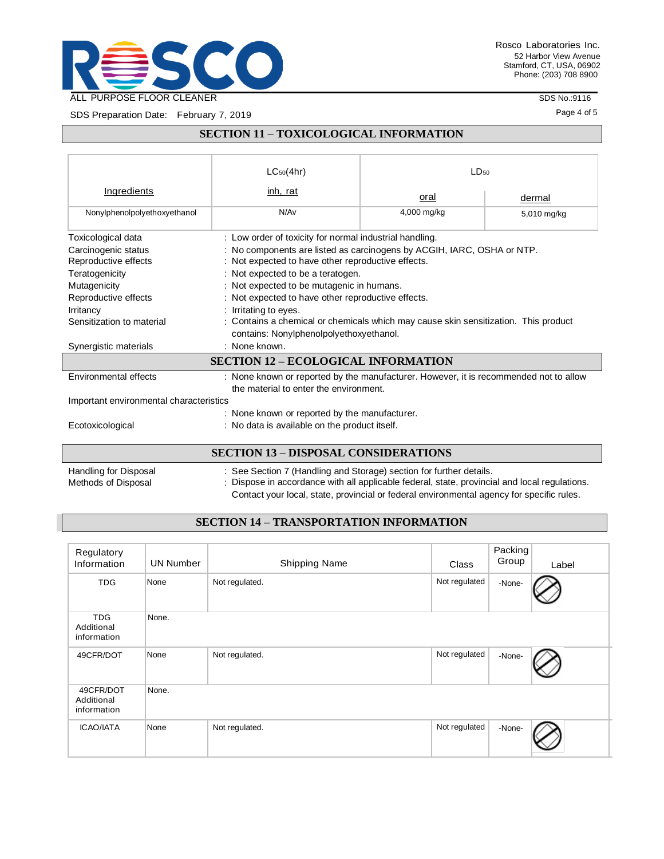

SDS No.:9116

Page 4 of 5

SDS Preparation Date: February 7, 2019

### **SECTION 11 – TOXICOLOGICAL INFORMATION**

|                                             | $LC_{50}(4hr)$                                                                                                                 | 1D50                       |  |  |  |
|---------------------------------------------|--------------------------------------------------------------------------------------------------------------------------------|----------------------------|--|--|--|
| Ingredients                                 | inh, rat                                                                                                                       | oral<br>dermal             |  |  |  |
| Nonylphenolpolyethoxyethanol                | N/Av                                                                                                                           | 4,000 mg/kg<br>5,010 mg/kg |  |  |  |
| Toxicological data                          | : Low order of toxicity for normal industrial handling.                                                                        |                            |  |  |  |
| Carcinogenic status<br>Reproductive effects | : No components are listed as carcinogens by ACGIH, IARC, OSHA or NTP.<br>: Not expected to have other reproductive effects.   |                            |  |  |  |
| Teratogenicity                              | : Not expected to be a teratogen.                                                                                              |                            |  |  |  |
| Mutagenicity                                | : Not expected to be mutagenic in humans.                                                                                      |                            |  |  |  |
| Reproductive effects                        | : Not expected to have other reproductive effects.                                                                             |                            |  |  |  |
| <b>Irritancy</b>                            | : Irritating to eyes.                                                                                                          |                            |  |  |  |
| Sensitization to material                   | : Contains a chemical or chemicals which may cause skin sensitization. This product<br>contains: Nonylphenolpolyethoxyethanol. |                            |  |  |  |
| Synergistic materials                       | $:$ None known.                                                                                                                |                            |  |  |  |
| <b>SECTION 12 – ECOLOGICAL INFORMATION</b>  |                                                                                                                                |                            |  |  |  |
| Environmental effects                       | : None known or reported by the manufacturer. However, it is recommended not to allow                                          |                            |  |  |  |
|                                             | the material to enter the environment.                                                                                         |                            |  |  |  |
| Important environmental characteristics     |                                                                                                                                |                            |  |  |  |
|                                             | : None known or reported by the manufacturer.                                                                                  |                            |  |  |  |
| Ecotoxicological                            | : No data is available on the product itself.                                                                                  |                            |  |  |  |
|                                             |                                                                                                                                |                            |  |  |  |

### **SECTION 13 – DISPOSAL CONSIDERATIONS**

Handling for Disposal : See Section 7 (Handling and Storage) section for further details.<br>Methods of Disposal : Dispose in accordance with all applicable federal, state, provincial : Dispose in accordance with all applicable federal, state, provincial and local regulations. Contact your local, state, provincial or federal environmental agency for specific rules.

## **SECTION 14 – TRANSPORTATION INFORMATION**

| Regulatory<br>Information               | <b>UN Number</b> | <b>Shipping Name</b> | Class         | Packing<br>Group | Label |
|-----------------------------------------|------------------|----------------------|---------------|------------------|-------|
| <b>TDG</b>                              | None             | Not regulated.       | Not regulated | -None-           |       |
| <b>TDG</b><br>Additional<br>information | None.            |                      |               |                  |       |
| 49CFR/DOT                               | None             | Not regulated.       | Not regulated | -None-           |       |
| 49CFR/DOT<br>Additional<br>information  | None.            |                      |               |                  |       |
| <b>ICAO/IATA</b>                        | None             | Not regulated.       | Not regulated | -None-           |       |